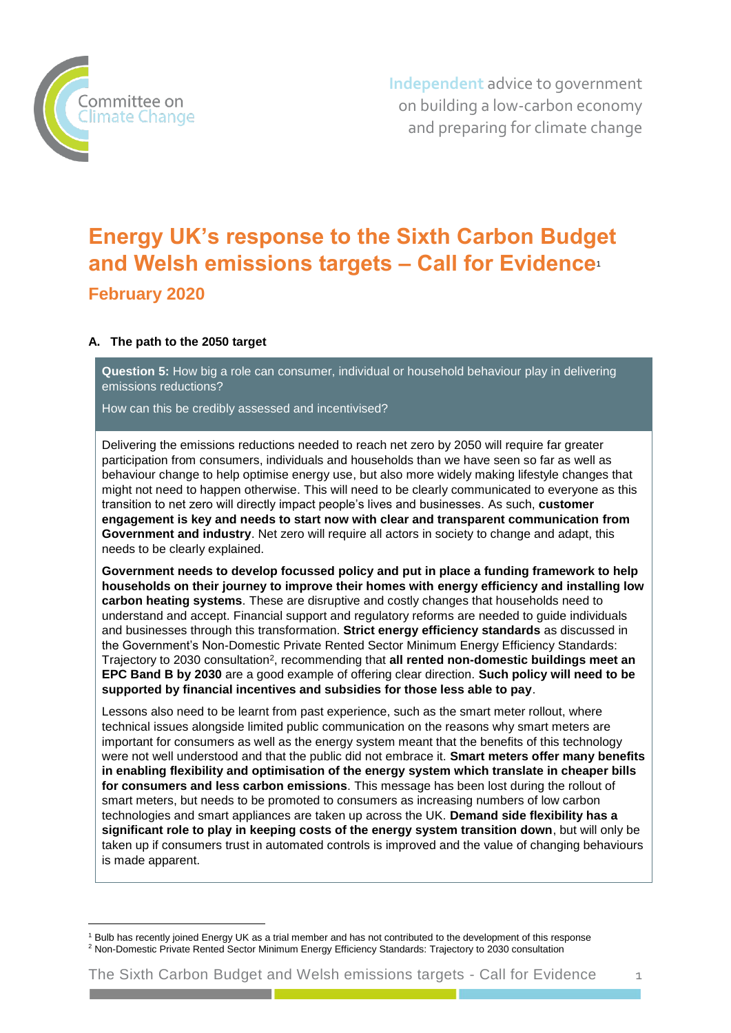

-

**Independent** advice to government on building a low-carbon economy and preparing for climate change

# **Energy UK's response to the Sixth Carbon Budget and Welsh emissions targets – Call for Evidence**<sup>1</sup> **February 2020**

# **A. The path to the 2050 target**

**Question 5:** How big a role can consumer, individual or household behaviour play in delivering emissions reductions?

How can this be credibly assessed and incentivised?

Delivering the emissions reductions needed to reach net zero by 2050 will require far greater participation from consumers, individuals and households than we have seen so far as well as behaviour change to help optimise energy use, but also more widely making lifestyle changes that might not need to happen otherwise. This will need to be clearly communicated to everyone as this transition to net zero will directly impact people's lives and businesses. As such, **customer engagement is key and needs to start now with clear and transparent communication from Government and industry**. Net zero will require all actors in society to change and adapt, this needs to be clearly explained.

**Government needs to develop focussed policy and put in place a funding framework to help households on their journey to improve their homes with energy efficiency and installing low carbon heating systems**. These are disruptive and costly changes that households need to understand and accept. Financial support and regulatory reforms are needed to guide individuals and businesses through this transformation. **Strict energy efficiency standards** as discussed in the Government's Non-Domestic Private Rented Sector Minimum Energy Efficiency Standards: Trajectory to 2030 consultation<sup>2</sup>, recommending that **all rented non-domestic buildings meet an EPC Band B by 2030** are a good example of offering clear direction. **Such policy will need to be supported by financial incentives and subsidies for those less able to pay**.

Lessons also need to be learnt from past experience, such as the smart meter rollout, where technical issues alongside limited public communication on the reasons why smart meters are important for consumers as well as the energy system meant that the benefits of this technology were not well understood and that the public did not embrace it. **Smart meters offer many benefits in enabling flexibility and optimisation of the energy system which translate in cheaper bills for consumers and less carbon emissions**. This message has been lost during the rollout of smart meters, but needs to be promoted to consumers as increasing numbers of low carbon technologies and smart appliances are taken up across the UK. **Demand side flexibility has a significant role to play in keeping costs of the energy system transition down**, but will only be taken up if consumers trust in automated controls is improved and the value of changing behaviours is made apparent.

<sup>1</sup> Bulb has recently joined Energy UK as a trial member and has not contributed to the development of this response <sup>2</sup> [Non-Domestic Private Rented Sector Minimum Energy Efficiency Standards: Trajectory to 2030 consultation](https://assets.publishing.service.gov.uk/government/uploads/system/uploads/attachment_data/file/839362/future-trajectory-non-dom-prs-regulations-consultation.pdf)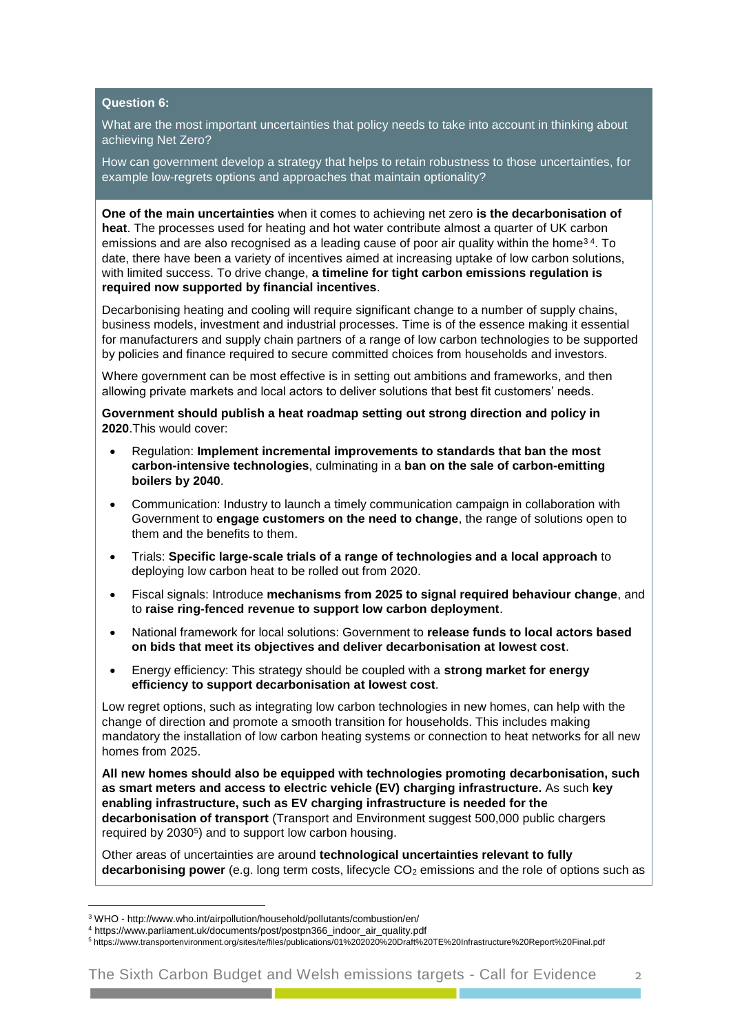### **Question 6:**

What are the most important uncertainties that policy needs to take into account in thinking about achieving Net Zero?

How can government develop a strategy that helps to retain robustness to those uncertainties, for example low-regrets options and approaches that maintain optionality?

**One of the main uncertainties** when it comes to achieving net zero **is the decarbonisation of heat**. The processes used for heating and hot water contribute almost a quarter of UK carbon emissions and are also recognised as a leading cause of poor air quality within the home<sup>34</sup>. To date, there have been a variety of incentives aimed at increasing uptake of low carbon solutions, with limited success. To drive change, **a timeline for tight carbon emissions regulation is required now supported by financial incentives**.

Decarbonising heating and cooling will require significant change to a number of supply chains, business models, investment and industrial processes. Time is of the essence making it essential for manufacturers and supply chain partners of a range of low carbon technologies to be supported by policies and finance required to secure committed choices from households and investors.

Where government can be most effective is in setting out ambitions and frameworks, and then allowing private markets and local actors to deliver solutions that best fit customers' needs.

**Government should publish a heat roadmap setting out strong direction and policy in 2020**.This would cover:

- Regulation: **Implement incremental improvements to standards that ban the most carbon-intensive technologies**, culminating in a **ban on the sale of carbon-emitting boilers by 2040**.
- Communication: Industry to launch a timely communication campaign in collaboration with Government to **engage customers on the need to change**, the range of solutions open to them and the benefits to them.
- Trials: **Specific large-scale trials of a range of technologies and a local approach** to deploying low carbon heat to be rolled out from 2020.
- Fiscal signals: Introduce **mechanisms from 2025 to signal required behaviour change**, and to **raise ring-fenced revenue to support low carbon deployment**.
- National framework for local solutions: Government to **release funds to local actors based on bids that meet its objectives and deliver decarbonisation at lowest cost**.
- Energy efficiency: This strategy should be coupled with a **strong market for energy efficiency to support decarbonisation at lowest cost**.

Low regret options, such as integrating low carbon technologies in new homes, can help with the change of direction and promote a smooth transition for households. This includes making mandatory the installation of low carbon heating systems or connection to heat networks for all new homes from 2025.

**All new homes should also be equipped with technologies promoting decarbonisation, such as smart meters and access to electric vehicle (EV) charging infrastructure.** As such **key enabling infrastructure, such as EV charging infrastructure is needed for the decarbonisation of transport** (Transport and Environment suggest 500,000 public chargers required by 2030<sup>5</sup>) and to support low carbon housing.

Other areas of uncertainties are around **technological uncertainties relevant to fully decarbonising power** (e.g. long term costs, lifecycle CO<sub>2</sub> emissions and the role of options such as

-

<sup>3</sup> WHO - http://www.who.int/airpollution/household/pollutants/combustion/en/

<sup>4</sup> https://www.parliament.uk/documents/post/postpn366\_indoor\_air\_quality.pdf

<sup>5</sup> <https://www.transportenvironment.org/sites/te/files/publications/01%202020%20Draft%20TE%20Infrastructure%20Report%20Final.pdf>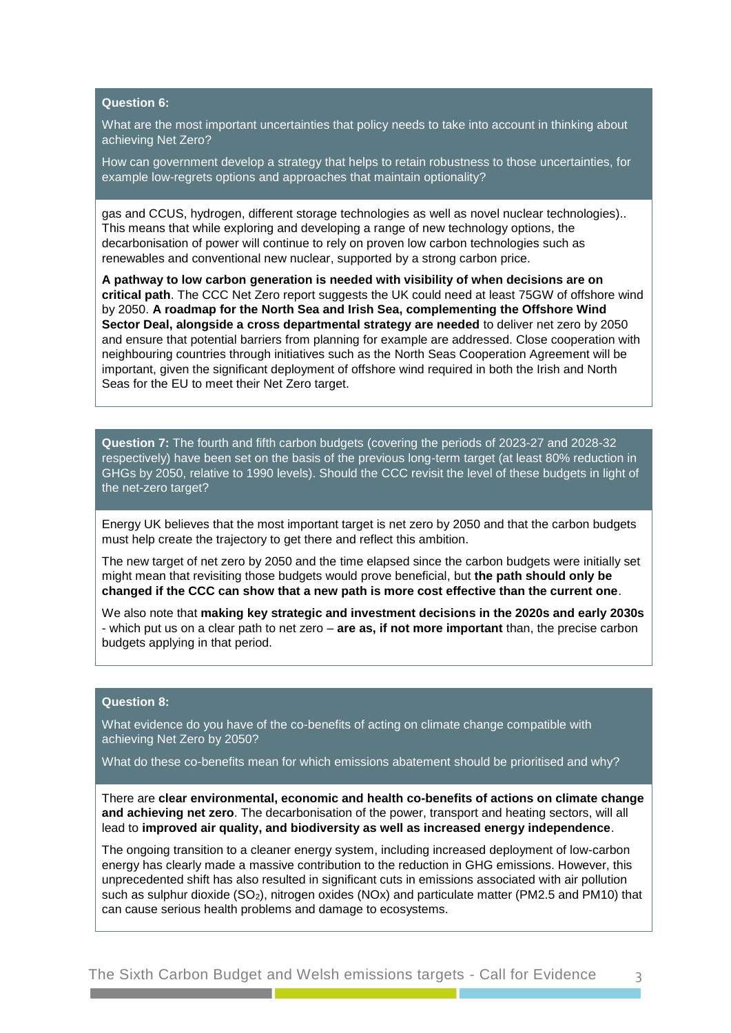### **Question 6:**

What are the most important uncertainties that policy needs to take into account in thinking about achieving Net Zero?

How can government develop a strategy that helps to retain robustness to those uncertainties, for example low-regrets options and approaches that maintain optionality?

gas and CCUS, hydrogen, different storage technologies as well as novel nuclear technologies).. This means that while exploring and developing a range of new technology options, the decarbonisation of power will continue to rely on proven low carbon technologies such as renewables and conventional new nuclear, supported by a strong carbon price.

**A pathway to low carbon generation is needed with visibility of when decisions are on critical path**. The CCC Net Zero report suggests the UK could need at least 75GW of offshore wind by 2050. **A roadmap for the North Sea and Irish Sea, complementing the Offshore Wind Sector Deal, alongside a cross departmental strategy are needed** to deliver net zero by 2050 and ensure that potential barriers from planning for example are addressed. Close cooperation with neighbouring countries through initiatives such as the North Seas Cooperation Agreement will be important, given the significant deployment of offshore wind required in both the Irish and North Seas for the EU to meet their Net Zero target.

**Question 7:** The fourth and fifth carbon budgets (covering the periods of 2023-27 and 2028-32 respectively) have been set on the basis of the previous long-term target (at least 80% reduction in GHGs by 2050, relative to 1990 levels). Should the CCC revisit the level of these budgets in light of the net-zero target?

Energy UK believes that the most important target is net zero by 2050 and that the carbon budgets must help create the trajectory to get there and reflect this ambition.

The new target of net zero by 2050 and the time elapsed since the carbon budgets were initially set might mean that revisiting those budgets would prove beneficial, but **the path should only be changed if the CCC can show that a new path is more cost effective than the current one**.

We also note that **making key strategic and investment decisions in the 2020s and early 2030s** - which put us on a clear path to net zero – **are as, if not more important** than, the precise carbon budgets applying in that period.

## **Question 8:**

What evidence do you have of the co-benefits of acting on climate change compatible with achieving Net Zero by 2050?

What do these co-benefits mean for which emissions abatement should be prioritised and why?

There are **clear environmental, economic and health co-benefits of actions on climate change and achieving net zero**. The decarbonisation of the power, transport and heating sectors, will all lead to **improved air quality, and biodiversity as well as increased energy independence**.

The ongoing transition to a cleaner energy system, including increased deployment of low-carbon energy has clearly made a massive contribution to the reduction in GHG emissions. However, this unprecedented shift has also resulted in significant cuts in emissions associated with air pollution such as sulphur dioxide (SO<sub>2</sub>), nitrogen oxides (NOx) and particulate matter (PM2.5 and PM10) that can cause serious health problems and damage to ecosystems.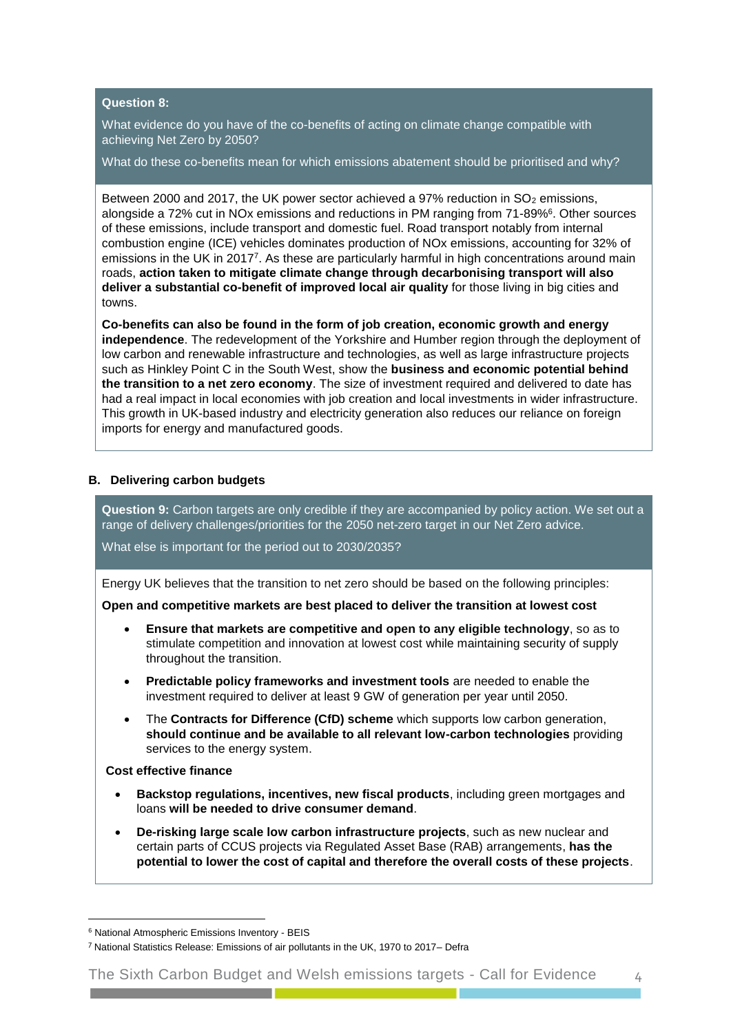## **Question 8:**

What evidence do you have of the co-benefits of acting on climate change compatible with achieving Net Zero by 2050?

What do these co-benefits mean for which emissions abatement should be prioritised and why?

Between 2000 and 2017, the UK power sector achieved a  $97\%$  reduction in SO<sub>2</sub> emissions, alongside a 72% cut in NOx emissions and reductions in PM ranging from 71-89%<sup>6</sup>. Other sources of these emissions, include transport and domestic fuel. Road transport notably from internal combustion engine (ICE) vehicles dominates production of NOx emissions, accounting for 32% of emissions in the UK in 2017<sup>7</sup>. As these are particularly harmful in high concentrations around main roads, **action taken to mitigate climate change through decarbonising transport will also deliver a substantial co-benefit of improved local air quality** for those living in big cities and towns.

**Co-benefits can also be found in the form of job creation, economic growth and energy independence**. The redevelopment of the Yorkshire and Humber region through the deployment of low carbon and renewable infrastructure and technologies, as well as large infrastructure projects such as Hinkley Point C in the South West, show the **business and economic potential behind the transition to a net zero economy**. The size of investment required and delivered to date has had a real impact in local economies with job creation and local investments in wider infrastructure. This growth in UK-based industry and electricity generation also reduces our reliance on foreign imports for energy and manufactured goods.

#### **B. Delivering carbon budgets**

**Question 9:** Carbon targets are only credible if they are accompanied by policy action. We set out a range of delivery challenges/priorities for the 2050 net-zero target in our Net Zero advice.

What else is important for the period out to 2030/2035?

Energy UK believes that the transition to net zero should be based on the following principles:

**Open and competitive markets are best placed to deliver the transition at lowest cost**

- **Ensure that markets are competitive and open to any eligible technology**, so as to stimulate competition and innovation at lowest cost while maintaining security of supply throughout the transition.
- **Predictable policy frameworks and investment tools** are needed to enable the investment required to deliver at least 9 GW of generation per year until 2050.
- The **Contracts for Difference (CfD) scheme** which supports low carbon generation, **should continue and be available to all relevant low-carbon technologies** providing services to the energy system.

**Cost effective finance**

-

- **Backstop regulations, incentives, new fiscal products**, including green mortgages and loans **will be needed to drive consumer demand**.
- **De-risking large scale low carbon infrastructure projects**, such as new nuclear and certain parts of CCUS projects via Regulated Asset Base (RAB) arrangements, **has the potential to lower the cost of capital and therefore the overall costs of these projects**.

<sup>6</sup> National Atmospheric Emissions Inventory - BEIS

<sup>7</sup> National Statistics Release: Emissions of air pollutants in the UK, 1970 to 2017– Defra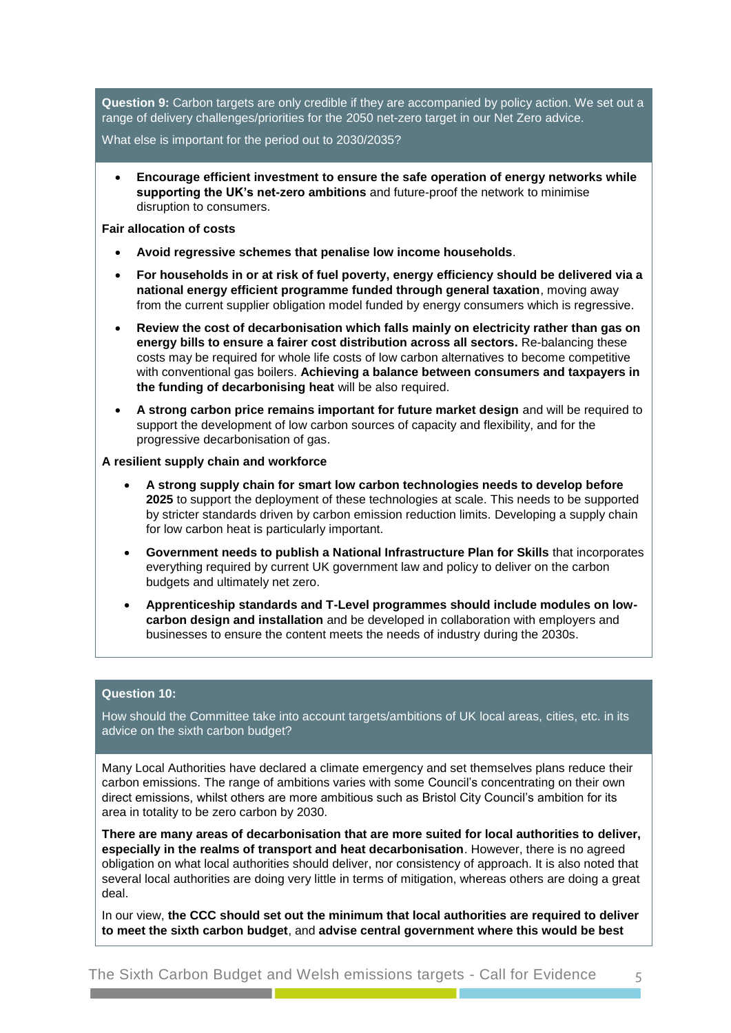**Question 9:** Carbon targets are only credible if they are accompanied by policy action. We set out a range of delivery challenges/priorities for the 2050 net-zero target in our Net Zero advice.

What else is important for the period out to 2030/2035?

 **Encourage efficient investment to ensure the safe operation of energy networks while supporting the UK's net-zero ambitions** and future-proof the network to minimise disruption to consumers.

**Fair allocation of costs**

- **Avoid regressive schemes that penalise low income households**.
- **For households in or at risk of fuel poverty, energy efficiency should be delivered via a national energy efficient programme funded through general taxation**, moving away from the current supplier obligation model funded by energy consumers which is regressive.
- **Review the cost of decarbonisation which falls mainly on electricity rather than gas on energy bills to ensure a fairer cost distribution across all sectors.** Re-balancing these costs may be required for whole life costs of low carbon alternatives to become competitive with conventional gas boilers. **Achieving a balance between consumers and taxpayers in the funding of decarbonising heat** will be also required.
- **A strong carbon price remains important for future market design** and will be required to support the development of low carbon sources of capacity and flexibility, and for the progressive decarbonisation of gas.

#### **A resilient supply chain and workforce**

- **A strong supply chain for smart low carbon technologies needs to develop before 2025** to support the deployment of these technologies at scale. This needs to be supported by stricter standards driven by carbon emission reduction limits. Developing a supply chain for low carbon heat is particularly important.
- **Government needs to publish a National Infrastructure Plan for Skills** that incorporates everything required by current UK government law and policy to deliver on the carbon budgets and ultimately net zero.
- **Apprenticeship standards and T-Level programmes should include modules on lowcarbon design and installation** and be developed in collaboration with employers and businesses to ensure the content meets the needs of industry during the 2030s.

#### **Question 10:**

How should the Committee take into account targets/ambitions of UK local areas, cities, etc. in its advice on the sixth carbon budget?

Many Local Authorities have declared a climate emergency and set themselves plans reduce their carbon emissions. The range of ambitions varies with some Council's concentrating on their own direct emissions, whilst others are more ambitious such as Bristol City Council's ambition for its area in totality to be zero carbon by 2030.

**There are many areas of decarbonisation that are more suited for local authorities to deliver, especially in the realms of transport and heat decarbonisation**. However, there is no agreed obligation on what local authorities should deliver, nor consistency of approach. It is also noted that several local authorities are doing very little in terms of mitigation, whereas others are doing a great deal.

In our view, **the CCC should set out the minimum that local authorities are required to deliver to meet the sixth carbon budget**, and **advise central government where this would be best**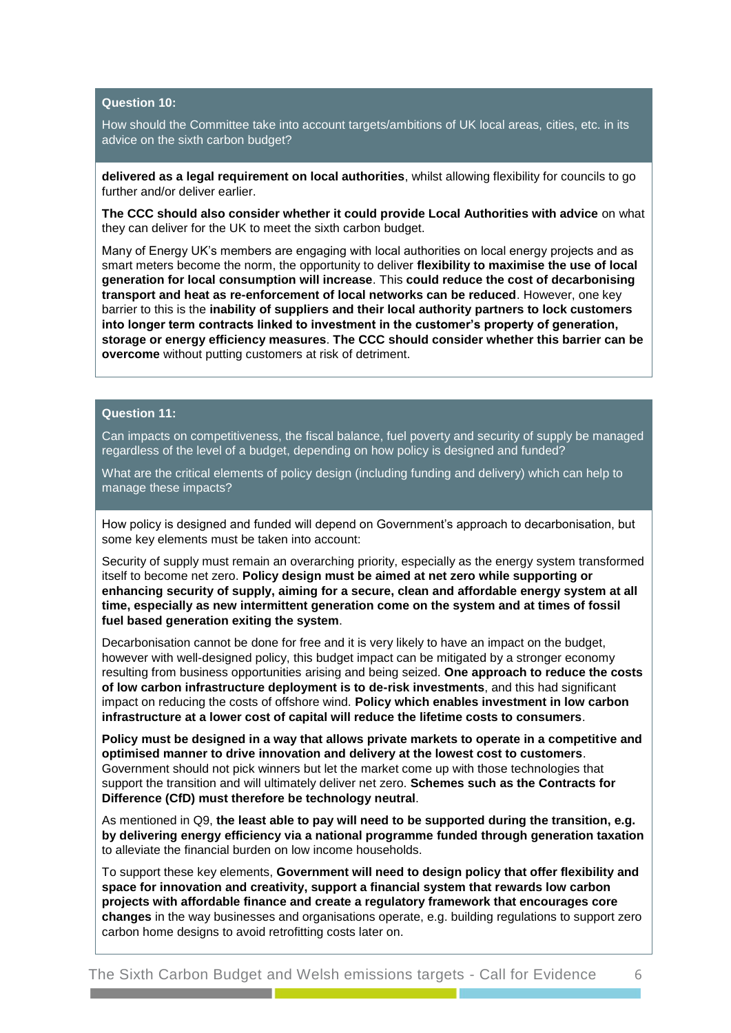### **Question 10:**

How should the Committee take into account targets/ambitions of UK local areas, cities, etc. in its advice on the sixth carbon budget?

**delivered as a legal requirement on local authorities**, whilst allowing flexibility for councils to go further and/or deliver earlier.

**The CCC should also consider whether it could provide Local Authorities with advice** on what they can deliver for the UK to meet the sixth carbon budget.

Many of Energy UK's members are engaging with local authorities on local energy projects and as smart meters become the norm, the opportunity to deliver **flexibility to maximise the use of local generation for local consumption will increase**. This **could reduce the cost of decarbonising transport and heat as re-enforcement of local networks can be reduced**. However, one key barrier to this is the **inability of suppliers and their local authority partners to lock customers into longer term contracts linked to investment in the customer's property of generation, storage or energy efficiency measures**. **The CCC should consider whether this barrier can be overcome** without putting customers at risk of detriment.

# **Question 11:**

Can impacts on competitiveness, the fiscal balance, fuel poverty and security of supply be managed regardless of the level of a budget, depending on how policy is designed and funded?

What are the critical elements of policy design (including funding and delivery) which can help to manage these impacts?

How policy is designed and funded will depend on Government's approach to decarbonisation, but some key elements must be taken into account:

Security of supply must remain an overarching priority, especially as the energy system transformed itself to become net zero. **Policy design must be aimed at net zero while supporting or enhancing security of supply, aiming for a secure, clean and affordable energy system at all time, especially as new intermittent generation come on the system and at times of fossil fuel based generation exiting the system**.

Decarbonisation cannot be done for free and it is very likely to have an impact on the budget, however with well-designed policy, this budget impact can be mitigated by a stronger economy resulting from business opportunities arising and being seized. **One approach to reduce the costs of low carbon infrastructure deployment is to de-risk investments**, and this had significant impact on reducing the costs of offshore wind. **Policy which enables investment in low carbon infrastructure at a lower cost of capital will reduce the lifetime costs to consumers**.

**Policy must be designed in a way that allows private markets to operate in a competitive and optimised manner to drive innovation and delivery at the lowest cost to customers**. Government should not pick winners but let the market come up with those technologies that support the transition and will ultimately deliver net zero. **Schemes such as the Contracts for Difference (CfD) must therefore be technology neutral**.

As mentioned in Q9, **the least able to pay will need to be supported during the transition, e.g. by delivering energy efficiency via a national programme funded through generation taxation** to alleviate the financial burden on low income households.

To support these key elements, **Government will need to design policy that offer flexibility and space for innovation and creativity, support a financial system that rewards low carbon projects with affordable finance and create a regulatory framework that encourages core changes** in the way businesses and organisations operate, e.g. building regulations to support zero carbon home designs to avoid retrofitting costs later on.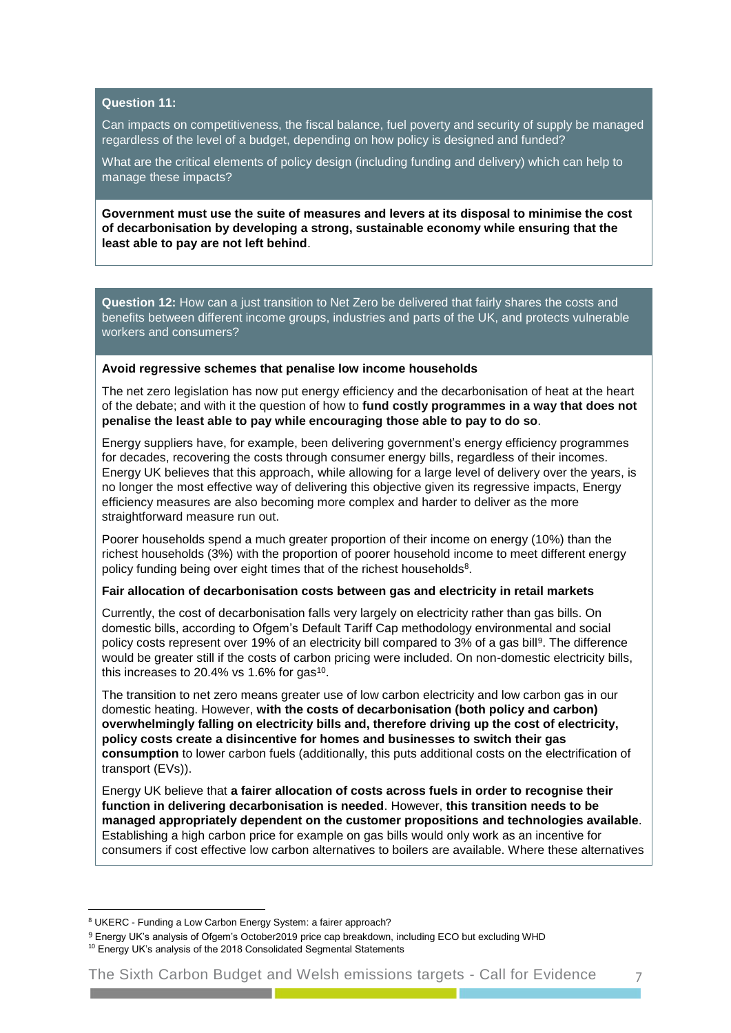## **Question 11:**

Can impacts on competitiveness, the fiscal balance, fuel poverty and security of supply be managed regardless of the level of a budget, depending on how policy is designed and funded?

What are the critical elements of policy design (including funding and delivery) which can help to manage these impacts?

**Government must use the suite of measures and levers at its disposal to minimise the cost of decarbonisation by developing a strong, sustainable economy while ensuring that the least able to pay are not left behind**.

**Question 12:** How can a just transition to Net Zero be delivered that fairly shares the costs and benefits between different income groups, industries and parts of the UK, and protects vulnerable workers and consumers?

#### **Avoid regressive schemes that penalise low income households**

The net zero legislation has now put energy efficiency and the decarbonisation of heat at the heart of the debate; and with it the question of how to **fund costly programmes in a way that does not penalise the least able to pay while encouraging those able to pay to do so**.

Energy suppliers have, for example, been delivering government's energy efficiency programmes for decades, recovering the costs through consumer energy bills, regardless of their incomes. Energy UK believes that this approach, while allowing for a large level of delivery over the years, is no longer the most effective way of delivering this objective given its regressive impacts, Energy efficiency measures are also becoming more complex and harder to deliver as the more straightforward measure run out.

Poorer households spend a much greater proportion of their income on energy (10%) than the richest households (3%) with the proportion of poorer household income to meet different energy policy funding being over eight times that of the richest households<sup>8</sup>.

#### **Fair allocation of decarbonisation costs between gas and electricity in retail markets**

Currently, the cost of decarbonisation falls very largely on electricity rather than gas bills. On domestic bills, according to Ofgem's Default Tariff Cap methodology environmental and social policy costs represent over 19% of an electricity bill compared to 3% of a gas bill<sup>9</sup>. The difference would be greater still if the costs of carbon pricing were included. On non-domestic electricity bills, this increases to 20.4% vs 1.6% for gas<sup>10</sup>.

The transition to net zero means greater use of low carbon electricity and low carbon gas in our domestic heating. However, **with the costs of decarbonisation (both policy and carbon) overwhelmingly falling on electricity bills and, therefore driving up the cost of electricity, policy costs create a disincentive for homes and businesses to switch their gas consumption** to lower carbon fuels (additionally, this puts additional costs on the electrification of transport (EVs)).

Energy UK believe that **a fairer allocation of costs across fuels in order to recognise their function in delivering decarbonisation is needed**. However, **this transition needs to be managed appropriately dependent on the customer propositions and technologies available**. Establishing a high carbon price for example on gas bills would only work as an incentive for consumers if cost effective low carbon alternatives to boilers are available. Where these alternatives

 $\overline{a}$ 

<sup>&</sup>lt;sup>8</sup> UKERC - Funding a Low Carbon Energy System: a fairer approach?

<sup>9</sup> Energy UK's analysis of Ofgem's October2019 price cap breakdown, including ECO but excluding WHD

<sup>&</sup>lt;sup>10</sup> Energy UK's analysis of the 2018 Consolidated Segmental Statements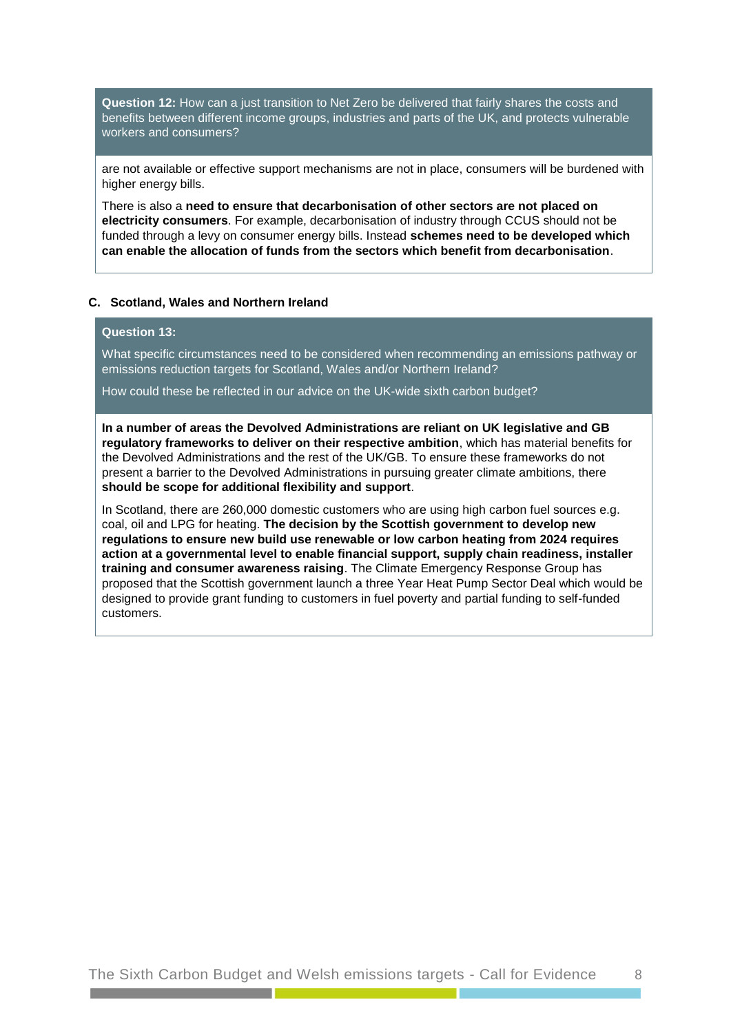**Question 12:** How can a just transition to Net Zero be delivered that fairly shares the costs and benefits between different income groups, industries and parts of the UK, and protects vulnerable workers and consumers?

are not available or effective support mechanisms are not in place, consumers will be burdened with higher energy bills.

There is also a **need to ensure that decarbonisation of other sectors are not placed on electricity consumers**. For example, decarbonisation of industry through CCUS should not be funded through a levy on consumer energy bills. Instead **schemes need to be developed which can enable the allocation of funds from the sectors which benefit from decarbonisation**.

# **C. Scotland, Wales and Northern Ireland**

# **Question 13:**

What specific circumstances need to be considered when recommending an emissions pathway or emissions reduction targets for Scotland, Wales and/or Northern Ireland?

How could these be reflected in our advice on the UK-wide sixth carbon budget?

**In a number of areas the Devolved Administrations are reliant on UK legislative and GB regulatory frameworks to deliver on their respective ambition**, which has material benefits for the Devolved Administrations and the rest of the UK/GB. To ensure these frameworks do not present a barrier to the Devolved Administrations in pursuing greater climate ambitions, there **should be scope for additional flexibility and support**.

In Scotland, there are 260,000 domestic customers who are using high carbon fuel sources e.g. coal, oil and LPG for heating. **The decision by the Scottish government to develop new regulations to ensure new build use renewable or low carbon heating from 2024 requires action at a governmental level to enable financial support, supply chain readiness, installer training and consumer awareness raising**. The Climate Emergency Response Group has proposed that the Scottish government launch a three Year Heat Pump Sector Deal which would be designed to provide grant funding to customers in fuel poverty and partial funding to self-funded customers.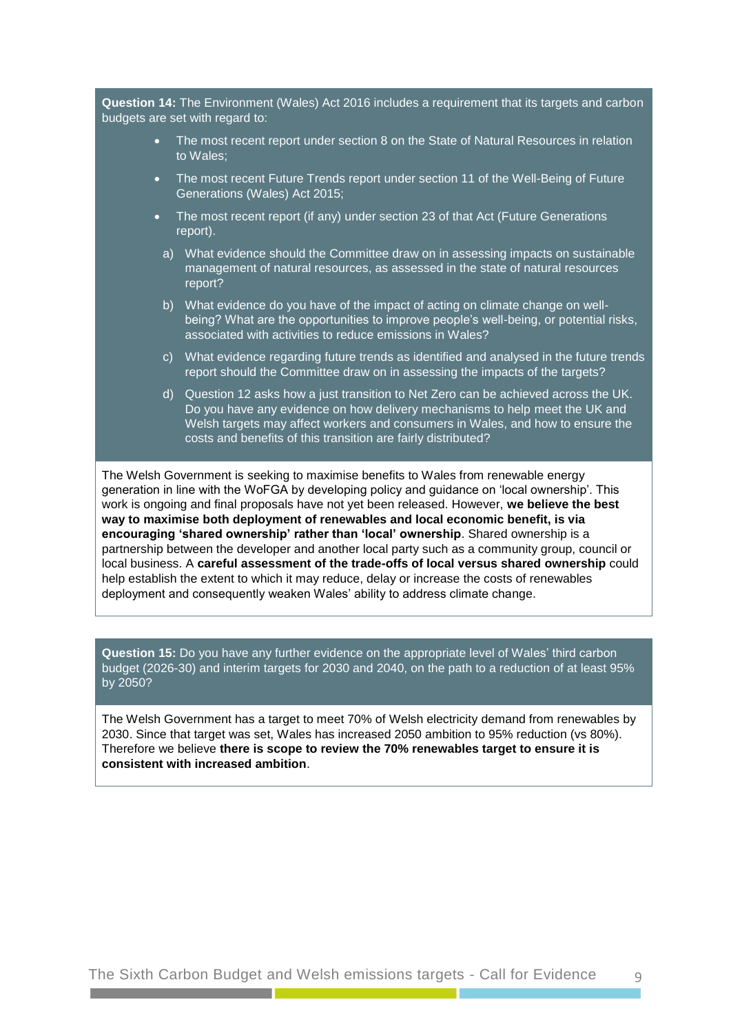**Question 14:** The Environment (Wales) Act 2016 includes a requirement that its targets and carbon budgets are set with regard to:

- The most recent report under section 8 on the State of Natural Resources in relation to Wales;
- The most recent Future Trends report under section 11 of the Well-Being of Future Generations (Wales) Act 2015;
- The most recent report (if any) under section 23 of that Act (Future Generations report).
	- a) What evidence should the Committee draw on in assessing impacts on sustainable management of natural resources, as assessed in the state of natural resources report?
	- b) What evidence do you have of the impact of acting on climate change on wellbeing? What are the opportunities to improve people's well-being, or potential risks, associated with activities to reduce emissions in Wales?
	- c) What evidence regarding future trends as identified and analysed in the future trends report should the Committee draw on in assessing the impacts of the targets?
	- d) Question 12 asks how a just transition to Net Zero can be achieved across the UK. Do you have any evidence on how delivery mechanisms to help meet the UK and Welsh targets may affect workers and consumers in Wales, and how to ensure the costs and benefits of this transition are fairly distributed?

The Welsh Government is seeking to maximise benefits to Wales from renewable energy generation in line with the WoFGA by developing policy and guidance on 'local ownership'. This work is ongoing and final proposals have not yet been released. However, **we believe the best way to maximise both deployment of renewables and local economic benefit, is via encouraging 'shared ownership' rather than 'local' ownership**. Shared ownership is a partnership between the developer and another local party such as a community group, council or local business. A **careful assessment of the trade-offs of local versus shared ownership** could help establish the extent to which it may reduce, delay or increase the costs of renewables deployment and consequently weaken Wales' ability to address climate change.

**Question 15:** Do you have any further evidence on the appropriate level of Wales' third carbon budget (2026-30) and interim targets for 2030 and 2040, on the path to a reduction of at least 95% by 2050?

The Welsh Government has a target to meet 70% of Welsh electricity demand from renewables by 2030. Since that target was set, Wales has increased 2050 ambition to 95% reduction (vs 80%). Therefore we believe **there is scope to review the 70% renewables target to ensure it is consistent with increased ambition**.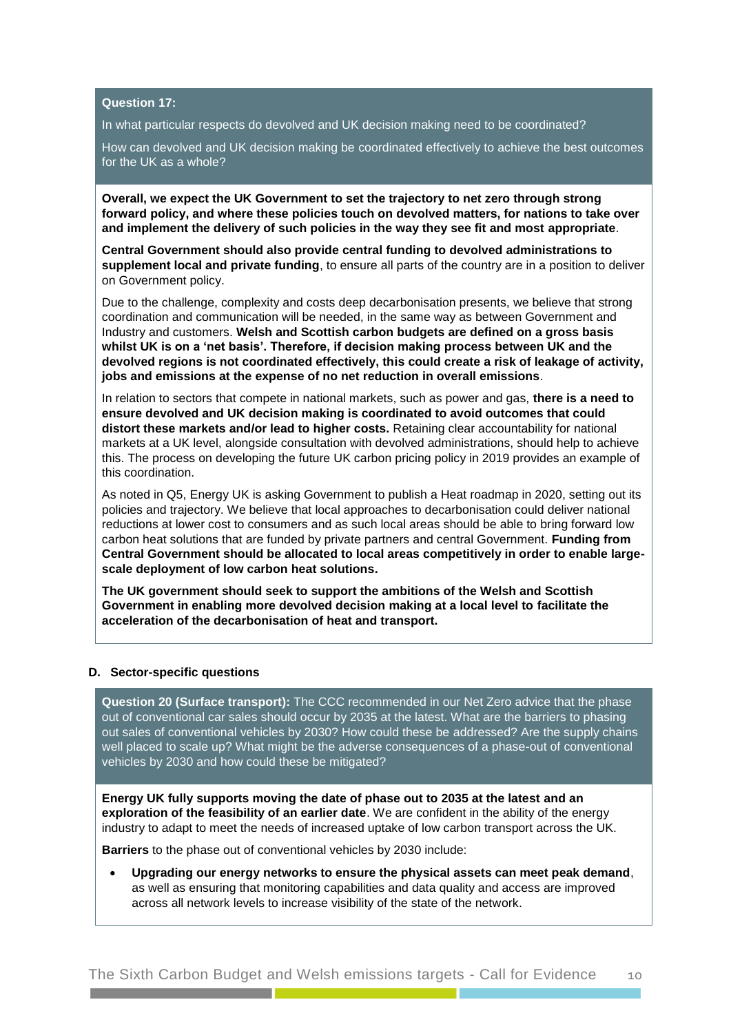## **Question 17:**

In what particular respects do devolved and UK decision making need to be coordinated?

How can devolved and UK decision making be coordinated effectively to achieve the best outcomes for the UK as a whole?

**Overall, we expect the UK Government to set the trajectory to net zero through strong forward policy, and where these policies touch on devolved matters, for nations to take over and implement the delivery of such policies in the way they see fit and most appropriate**.

**Central Government should also provide central funding to devolved administrations to supplement local and private funding**, to ensure all parts of the country are in a position to deliver on Government policy.

Due to the challenge, complexity and costs deep decarbonisation presents, we believe that strong coordination and communication will be needed, in the same way as between Government and Industry and customers. **Welsh and Scottish carbon budgets are defined on a gross basis whilst UK is on a 'net basis'. Therefore, if decision making process between UK and the devolved regions is not coordinated effectively, this could create a risk of leakage of activity, jobs and emissions at the expense of no net reduction in overall emissions**.

In relation to sectors that compete in national markets, such as power and gas, **there is a need to ensure devolved and UK decision making is coordinated to avoid outcomes that could distort these markets and/or lead to higher costs.** Retaining clear accountability for national markets at a UK level, alongside consultation with devolved administrations, should help to achieve this. The process on developing the future UK carbon pricing policy in 2019 provides an example of this coordination.

As noted in Q5, Energy UK is asking Government to publish a Heat roadmap in 2020, setting out its policies and trajectory. We believe that local approaches to decarbonisation could deliver national reductions at lower cost to consumers and as such local areas should be able to bring forward low carbon heat solutions that are funded by private partners and central Government. **Funding from Central Government should be allocated to local areas competitively in order to enable largescale deployment of low carbon heat solutions.**

**The UK government should seek to support the ambitions of the Welsh and Scottish Government in enabling more devolved decision making at a local level to facilitate the acceleration of the decarbonisation of heat and transport.**

#### **D. Sector-specific questions**

**Question 20 (Surface transport):** The CCC recommended in our Net Zero advice that the phase out of conventional car sales should occur by 2035 at the latest. What are the barriers to phasing out sales of conventional vehicles by 2030? How could these be addressed? Are the supply chains well placed to scale up? What might be the adverse consequences of a phase-out of conventional vehicles by 2030 and how could these be mitigated?

**Energy UK fully supports moving the date of phase out to 2035 at the latest and an exploration of the feasibility of an earlier date**. We are confident in the ability of the energy industry to adapt to meet the needs of increased uptake of low carbon transport across the UK.

**Barriers** to the phase out of conventional vehicles by 2030 include:

 **Upgrading our energy networks to ensure the physical assets can meet peak demand**, as well as ensuring that monitoring capabilities and data quality and access are improved across all network levels to increase visibility of the state of the network.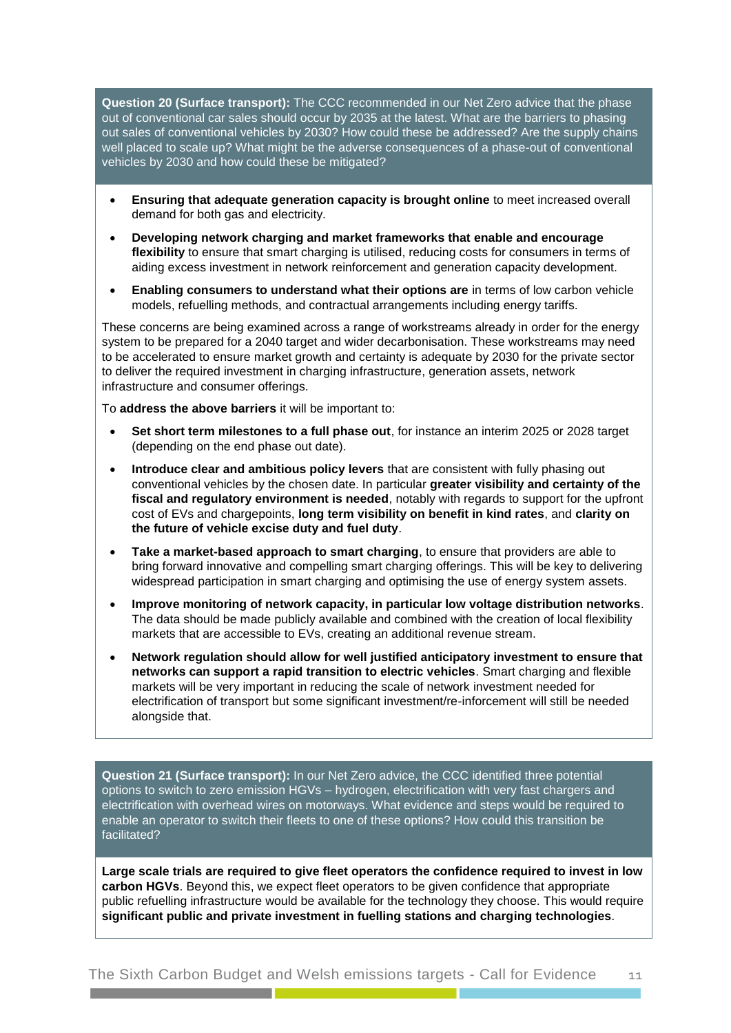**Question 20 (Surface transport):** The CCC recommended in our Net Zero advice that the phase out of conventional car sales should occur by 2035 at the latest. What are the barriers to phasing out sales of conventional vehicles by 2030? How could these be addressed? Are the supply chains well placed to scale up? What might be the adverse consequences of a phase-out of conventional vehicles by 2030 and how could these be mitigated?

- **Ensuring that adequate generation capacity is brought online** to meet increased overall demand for both gas and electricity.
- **Developing network charging and market frameworks that enable and encourage flexibility** to ensure that smart charging is utilised, reducing costs for consumers in terms of aiding excess investment in network reinforcement and generation capacity development.
- **Enabling consumers to understand what their options are** in terms of low carbon vehicle models, refuelling methods, and contractual arrangements including energy tariffs.

These concerns are being examined across a range of workstreams already in order for the energy system to be prepared for a 2040 target and wider decarbonisation. These workstreams may need to be accelerated to ensure market growth and certainty is adequate by 2030 for the private sector to deliver the required investment in charging infrastructure, generation assets, network infrastructure and consumer offerings.

To **address the above barriers** it will be important to:

- **Set short term milestones to a full phase out**, for instance an interim 2025 or 2028 target (depending on the end phase out date).
- **Introduce clear and ambitious policy levers** that are consistent with fully phasing out conventional vehicles by the chosen date. In particular **greater visibility and certainty of the fiscal and regulatory environment is needed**, notably with regards to support for the upfront cost of EVs and chargepoints, **long term visibility on benefit in kind rates**, and **clarity on the future of vehicle excise duty and fuel duty**.
- **Take a market-based approach to smart charging**, to ensure that providers are able to bring forward innovative and compelling smart charging offerings. This will be key to delivering widespread participation in smart charging and optimising the use of energy system assets.
- **Improve monitoring of network capacity, in particular low voltage distribution networks**. The data should be made publicly available and combined with the creation of local flexibility markets that are accessible to EVs, creating an additional revenue stream.
- **Network regulation should allow for well justified anticipatory investment to ensure that networks can support a rapid transition to electric vehicles**. Smart charging and flexible markets will be very important in reducing the scale of network investment needed for electrification of transport but some significant investment/re-inforcement will still be needed alongside that.

**Question 21 (Surface transport):** In our Net Zero advice, the CCC identified three potential options to switch to zero emission HGVs – hydrogen, electrification with very fast chargers and electrification with overhead wires on motorways. What evidence and steps would be required to enable an operator to switch their fleets to one of these options? How could this transition be facilitated?

**Large scale trials are required to give fleet operators the confidence required to invest in low carbon HGVs**. Beyond this, we expect fleet operators to be given confidence that appropriate public refuelling infrastructure would be available for the technology they choose. This would require **significant public and private investment in fuelling stations and charging technologies**.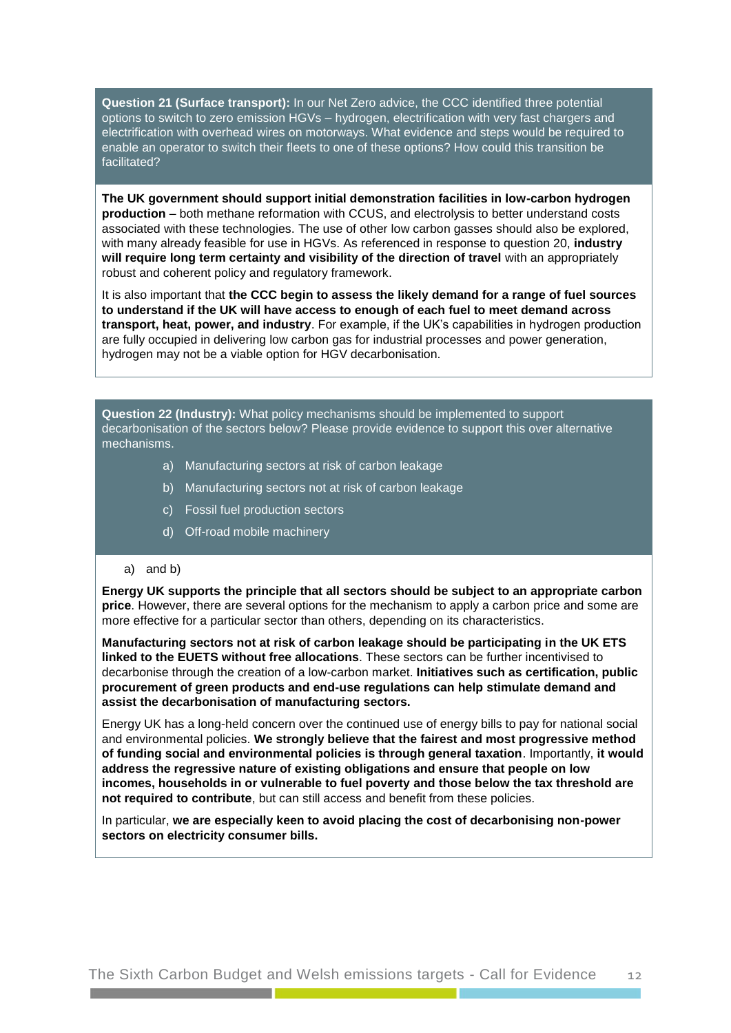**Question 21 (Surface transport):** In our Net Zero advice, the CCC identified three potential options to switch to zero emission HGVs – hydrogen, electrification with very fast chargers and electrification with overhead wires on motorways. What evidence and steps would be required to enable an operator to switch their fleets to one of these options? How could this transition be facilitated?

**The UK government should support initial demonstration facilities in low-carbon hydrogen production** – both methane reformation with CCUS, and electrolysis to better understand costs associated with these technologies. The use of other low carbon gasses should also be explored, with many already feasible for use in HGVs. As referenced in response to question 20, **industry will require long term certainty and visibility of the direction of travel** with an appropriately robust and coherent policy and regulatory framework.

It is also important that **the CCC begin to assess the likely demand for a range of fuel sources to understand if the UK will have access to enough of each fuel to meet demand across transport, heat, power, and industry**. For example, if the UK's capabilities in hydrogen production are fully occupied in delivering low carbon gas for industrial processes and power generation, hydrogen may not be a viable option for HGV decarbonisation.

**Question 22 (Industry):** What policy mechanisms should be implemented to support decarbonisation of the sectors below? Please provide evidence to support this over alternative mechanisms.

- a) Manufacturing sectors at risk of carbon leakage
- b) Manufacturing sectors not at risk of carbon leakage
- c) Fossil fuel production sectors
- d) Off-road mobile machinery

#### a) and b)

**Energy UK supports the principle that all sectors should be subject to an appropriate carbon price**. However, there are several options for the mechanism to apply a carbon price and some are more effective for a particular sector than others, depending on its characteristics.

**Manufacturing sectors not at risk of carbon leakage should be participating in the UK ETS linked to the EUETS without free allocations**. These sectors can be further incentivised to decarbonise through the creation of a low-carbon market. **Initiatives such as certification, public procurement of green products and end-use regulations can help stimulate demand and assist the decarbonisation of manufacturing sectors.**

Energy UK has a long-held concern over the continued use of energy bills to pay for national social and environmental policies. **We strongly believe that the fairest and most progressive method of funding social and environmental policies is through general taxation**. Importantly, **it would address the regressive nature of existing obligations and ensure that people on low incomes, households in or vulnerable to fuel poverty and those below the tax threshold are not required to contribute**, but can still access and benefit from these policies.

In particular, **we are especially keen to avoid placing the cost of decarbonising non-power sectors on electricity consumer bills.**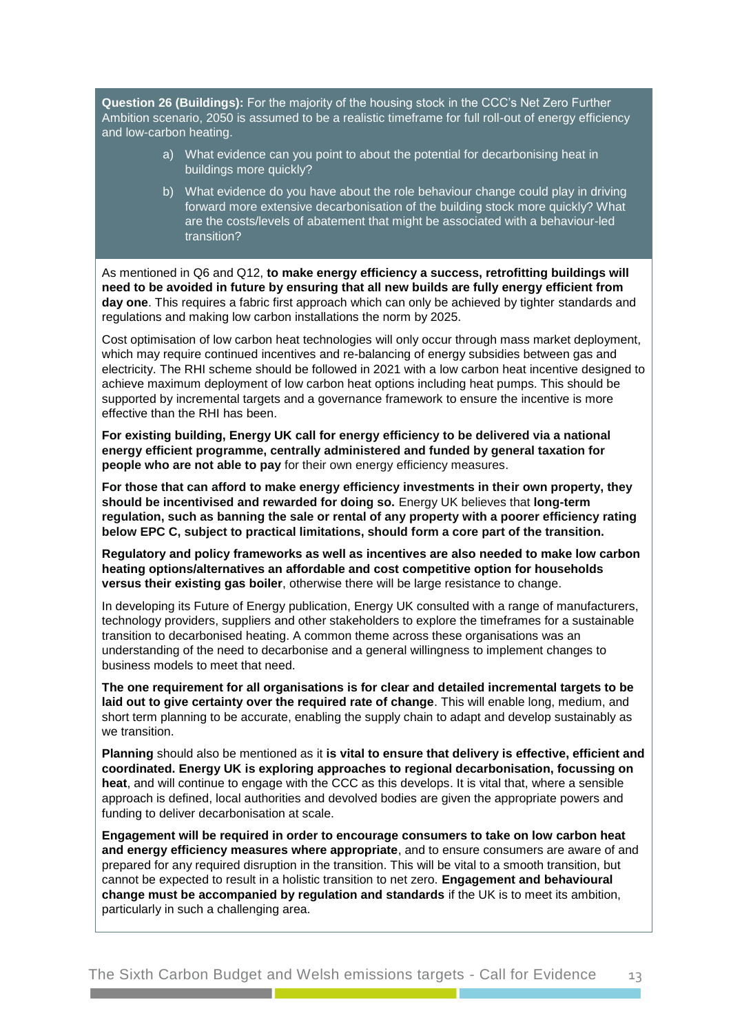**Question 26 (Buildings):** For the majority of the housing stock in the CCC's Net Zero Further Ambition scenario, 2050 is assumed to be a realistic timeframe for full roll-out of energy efficiency and low-carbon heating.

- a) What evidence can you point to about the potential for decarbonising heat in buildings more quickly?
- b) What evidence do you have about the role behaviour change could play in driving forward more extensive decarbonisation of the building stock more quickly? What are the costs/levels of abatement that might be associated with a behaviour-led transition?

As mentioned in Q6 and Q12, **to make energy efficiency a success, retrofitting buildings will need to be avoided in future by ensuring that all new builds are fully energy efficient from day one**. This requires a fabric first approach which can only be achieved by tighter standards and regulations and making low carbon installations the norm by 2025.

Cost optimisation of low carbon heat technologies will only occur through mass market deployment, which may require continued incentives and re-balancing of energy subsidies between gas and electricity. The RHI scheme should be followed in 2021 with a low carbon heat incentive designed to achieve maximum deployment of low carbon heat options including heat pumps. This should be supported by incremental targets and a governance framework to ensure the incentive is more effective than the RHI has been.

**For existing building, Energy UK call for energy efficiency to be delivered via a national energy efficient programme, centrally administered and funded by general taxation for people who are not able to pay** for their own energy efficiency measures.

**For those that can afford to make energy efficiency investments in their own property, they should be incentivised and rewarded for doing so.** Energy UK believes that **long-term regulation, such as banning the sale or rental of any property with a poorer efficiency rating below EPC C, subject to practical limitations, should form a core part of the transition.** 

**Regulatory and policy frameworks as well as incentives are also needed to make low carbon heating options/alternatives an affordable and cost competitive option for households versus their existing gas boiler**, otherwise there will be large resistance to change.

In developing its Future of Energy publication, Energy UK consulted with a range of manufacturers, technology providers, suppliers and other stakeholders to explore the timeframes for a sustainable transition to decarbonised heating. A common theme across these organisations was an understanding of the need to decarbonise and a general willingness to implement changes to business models to meet that need.

**The one requirement for all organisations is for clear and detailed incremental targets to be laid out to give certainty over the required rate of change**. This will enable long, medium, and short term planning to be accurate, enabling the supply chain to adapt and develop sustainably as we transition.

**Planning** should also be mentioned as it **is vital to ensure that delivery is effective, efficient and coordinated. Energy UK is exploring approaches to regional decarbonisation, focussing on heat**, and will continue to engage with the CCC as this develops. It is vital that, where a sensible approach is defined, local authorities and devolved bodies are given the appropriate powers and funding to deliver decarbonisation at scale.

**Engagement will be required in order to encourage consumers to take on low carbon heat and energy efficiency measures where appropriate**, and to ensure consumers are aware of and prepared for any required disruption in the transition. This will be vital to a smooth transition, but cannot be expected to result in a holistic transition to net zero. **Engagement and behavioural change must be accompanied by regulation and standards** if the UK is to meet its ambition, particularly in such a challenging area.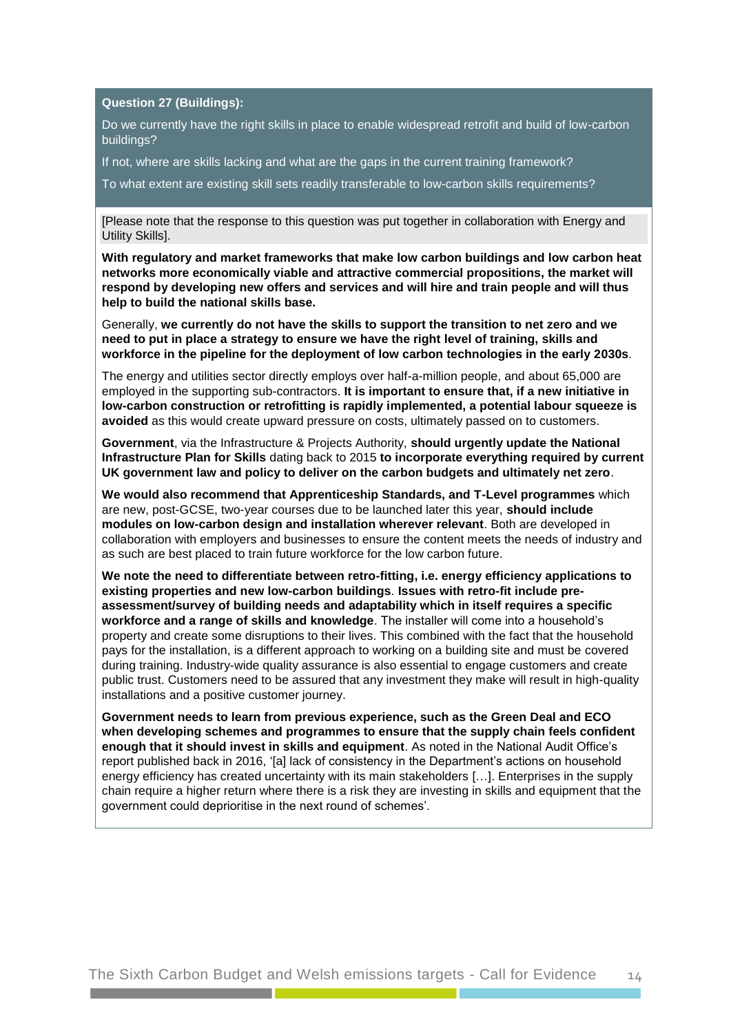#### **Question 27 (Buildings):**

Do we currently have the right skills in place to enable widespread retrofit and build of low-carbon buildings?

If not, where are skills lacking and what are the gaps in the current training framework?

To what extent are existing skill sets readily transferable to low-carbon skills requirements?

[Please note that the response to this question was put together in collaboration with Energy and Utility Skills].

**With regulatory and market frameworks that make low carbon buildings and low carbon heat networks more economically viable and attractive commercial propositions, the market will respond by developing new offers and services and will hire and train people and will thus help to build the national skills base.**

Generally, **we currently do not have the skills to support the transition to net zero and we need to put in place a strategy to ensure we have the right level of training, skills and workforce in the pipeline for the deployment of low carbon technologies in the early 2030s**.

The energy and utilities sector directly employs over half-a-million people, and about 65,000 are employed in the supporting sub-contractors. **It is important to ensure that, if a new initiative in low-carbon construction or retrofitting is rapidly implemented, a potential labour squeeze is avoided** as this would create upward pressure on costs, ultimately passed on to customers.

**Government**, via the Infrastructure & Projects Authority, **should urgently update the National Infrastructure Plan for Skills** dating back to 2015 **to incorporate everything required by current UK government law and policy to deliver on the carbon budgets and ultimately net zero**.

**We would also recommend that Apprenticeship Standards, and T-Level programmes** which are new, post-GCSE, two-year courses due to be launched later this year, **should include modules on low-carbon design and installation wherever relevant**. Both are developed in collaboration with employers and businesses to ensure the content meets the needs of industry and as such are best placed to train future workforce for the low carbon future.

**We note the need to differentiate between retro-fitting, i.e. energy efficiency applications to existing properties and new low-carbon buildings**. **Issues with retro-fit include preassessment/survey of building needs and adaptability which in itself requires a specific workforce and a range of skills and knowledge**. The installer will come into a household's property and create some disruptions to their lives. This combined with the fact that the household pays for the installation, is a different approach to working on a building site and must be covered during training. Industry-wide quality assurance is also essential to engage customers and create public trust. Customers need to be assured that any investment they make will result in high-quality installations and a positive customer journey.

**Government needs to learn from previous experience, such as the Green Deal and ECO when developing schemes and programmes to ensure that the supply chain feels confident enough that it should invest in skills and equipment**. As noted in the [National Audit Office's](https://www.nao.org.uk/report/green-deal-and-energy-company-obligation/)  [report](https://www.nao.org.uk/report/green-deal-and-energy-company-obligation/) published back in 2016, '[a] lack of consistency in the Department's actions on household energy efficiency has created uncertainty with its main stakeholders […]. Enterprises in the supply chain require a higher return where there is a risk they are investing in skills and equipment that the government could deprioritise in the next round of schemes'.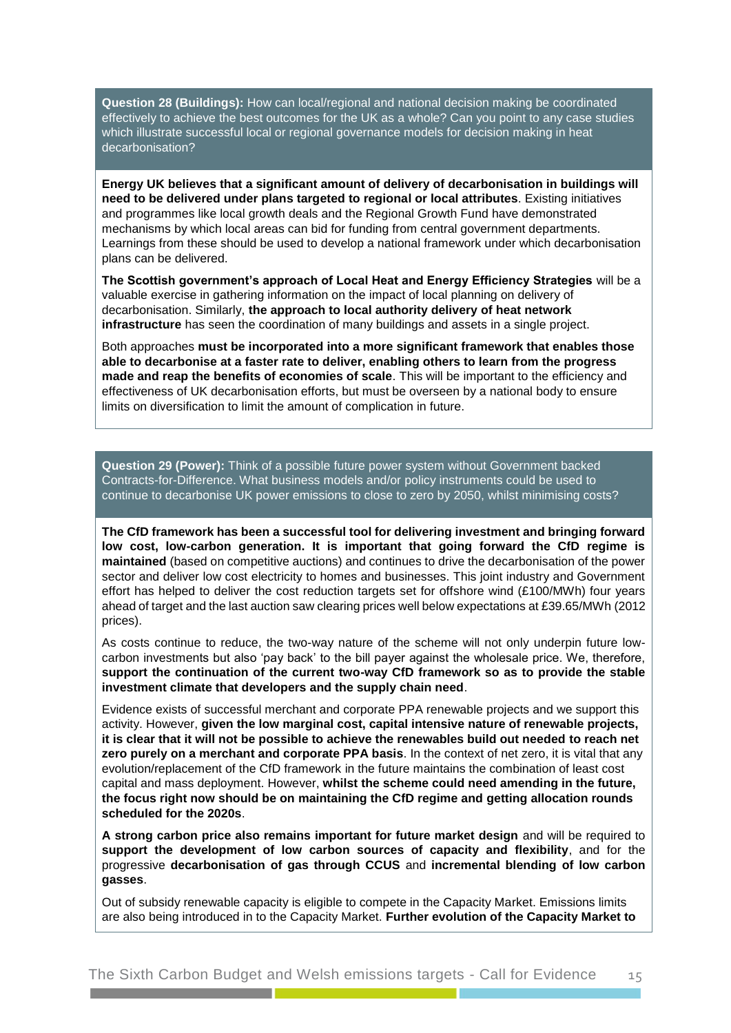**Question 28 (Buildings):** How can local/regional and national decision making be coordinated effectively to achieve the best outcomes for the UK as a whole? Can you point to any case studies which illustrate successful local or regional governance models for decision making in heat decarbonisation?

**Energy UK believes that a significant amount of delivery of decarbonisation in buildings will need to be delivered under plans targeted to regional or local attributes**. Existing initiatives and programmes like local growth deals and the Regional Growth Fund have demonstrated mechanisms by which local areas can bid for funding from central government departments. Learnings from these should be used to develop a national framework under which decarbonisation plans can be delivered.

**The Scottish government's approach of Local Heat and Energy Efficiency Strategies** will be a valuable exercise in gathering information on the impact of local planning on delivery of decarbonisation. Similarly, **the approach to local authority delivery of heat network infrastructure** has seen the coordination of many buildings and assets in a single project.

Both approaches **must be incorporated into a more significant framework that enables those able to decarbonise at a faster rate to deliver, enabling others to learn from the progress made and reap the benefits of economies of scale**. This will be important to the efficiency and effectiveness of UK decarbonisation efforts, but must be overseen by a national body to ensure limits on diversification to limit the amount of complication in future.

**Question 29 (Power):** Think of a possible future power system without Government backed Contracts-for-Difference. What business models and/or policy instruments could be used to continue to decarbonise UK power emissions to close to zero by 2050, whilst minimising costs?

**The CfD framework has been a successful tool for delivering investment and bringing forward low cost, low-carbon generation. It is important that going forward the CfD regime is maintained** (based on competitive auctions) and continues to drive the decarbonisation of the power sector and deliver low cost electricity to homes and businesses. This joint industry and Government effort has helped to deliver the cost reduction targets set for offshore wind (£100/MWh) four years ahead of target and the last auction saw clearing prices well below expectations at £39.65/MWh (2012 prices).

As costs continue to reduce, the two-way nature of the scheme will not only underpin future lowcarbon investments but also 'pay back' to the bill payer against the wholesale price. We, therefore, **support the continuation of the current two-way CfD framework so as to provide the stable investment climate that developers and the supply chain need**.

Evidence exists of successful merchant and corporate PPA renewable projects and we support this activity. However, **given the low marginal cost, capital intensive nature of renewable projects, it is clear that it will not be possible to achieve the renewables build out needed to reach net zero purely on a merchant and corporate PPA basis**. In the context of net zero, it is vital that any evolution/replacement of the CfD framework in the future maintains the combination of least cost capital and mass deployment. However, **whilst the scheme could need amending in the future, the focus right now should be on maintaining the CfD regime and getting allocation rounds scheduled for the 2020s**.

**A strong carbon price also remains important for future market design** and will be required to **support the development of low carbon sources of capacity and flexibility**, and for the progressive **decarbonisation of gas through CCUS** and **incremental blending of low carbon gasses**.

Out of subsidy renewable capacity is eligible to compete in the Capacity Market. Emissions limits are also being introduced in to the Capacity Market. **Further evolution of the Capacity Market to**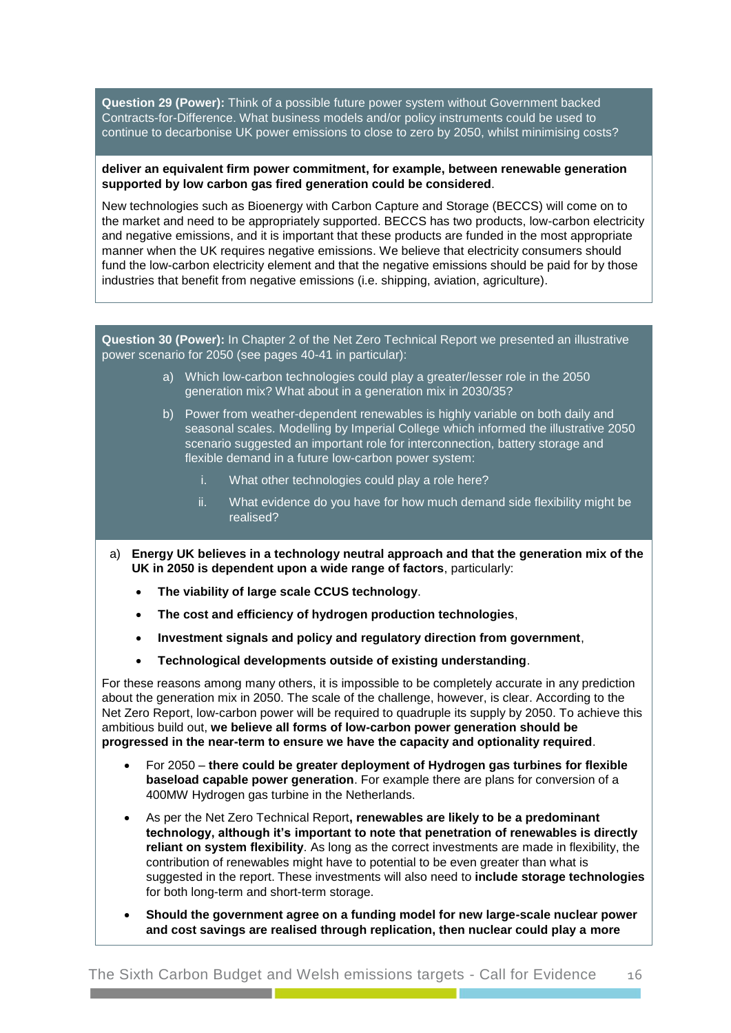**Question 29 (Power):** Think of a possible future power system without Government backed Contracts-for-Difference. What business models and/or policy instruments could be used to continue to decarbonise UK power emissions to close to zero by 2050, whilst minimising costs?

#### **deliver an equivalent firm power commitment, for example, between renewable generation supported by low carbon gas fired generation could be considered**.

New technologies such as Bioenergy with Carbon Capture and Storage (BECCS) will come on to the market and need to be appropriately supported. BECCS has two products, low-carbon electricity and negative emissions, and it is important that these products are funded in the most appropriate manner when the UK requires negative emissions. We believe that electricity consumers should fund the low-carbon electricity element and that the negative emissions should be paid for by those industries that benefit from negative emissions (i.e. shipping, aviation, agriculture).

**Question 30 (Power):** In Chapter 2 of the Net Zero Technical Report we presented an illustrative power scenario for 2050 (see pages 40-41 in particular):

- a) Which low-carbon technologies could play a greater/lesser role in the 2050 generation mix? What about in a generation mix in 2030/35?
- b) Power from weather-dependent renewables is highly variable on both daily and seasonal scales. Modelling by Imperial College which informed the illustrative 2050 scenario suggested an important role for interconnection, battery storage and flexible demand in a future low-carbon power system:
	- i. What other technologies could play a role here?
	- ii. What evidence do you have for how much demand side flexibility might be realised?
- a) **Energy UK believes in a technology neutral approach and that the generation mix of the UK in 2050 is dependent upon a wide range of factors**, particularly:
	- **The viability of large scale CCUS technology**.
	- **The cost and efficiency of hydrogen production technologies**,
	- **Investment signals and policy and regulatory direction from government**,
	- **Technological developments outside of existing understanding**.

For these reasons among many others, it is impossible to be completely accurate in any prediction about the generation mix in 2050. The scale of the challenge, however, is clear. According to the Net Zero Report, low-carbon power will be required to quadruple its supply by 2050. To achieve this ambitious build out, **we believe all forms of low-carbon power generation should be progressed in the near-term to ensure we have the capacity and optionality required**.

- For 2050 **there could be greater deployment of Hydrogen gas turbines for flexible baseload capable power generation**. For example there are plans for conversion of a 400MW Hydrogen gas turbine in the Netherlands.
- As per the Net Zero Technical Report**, renewables are likely to be a predominant technology, although it's important to note that penetration of renewables is directly reliant on system flexibility**. As long as the correct investments are made in flexibility, the contribution of renewables might have to potential to be even greater than what is suggested in the report. These investments will also need to **include storage technologies** for both long-term and short-term storage.
- **Should the government agree on a funding model for new large-scale nuclear power and cost savings are realised through replication, then nuclear could play a more**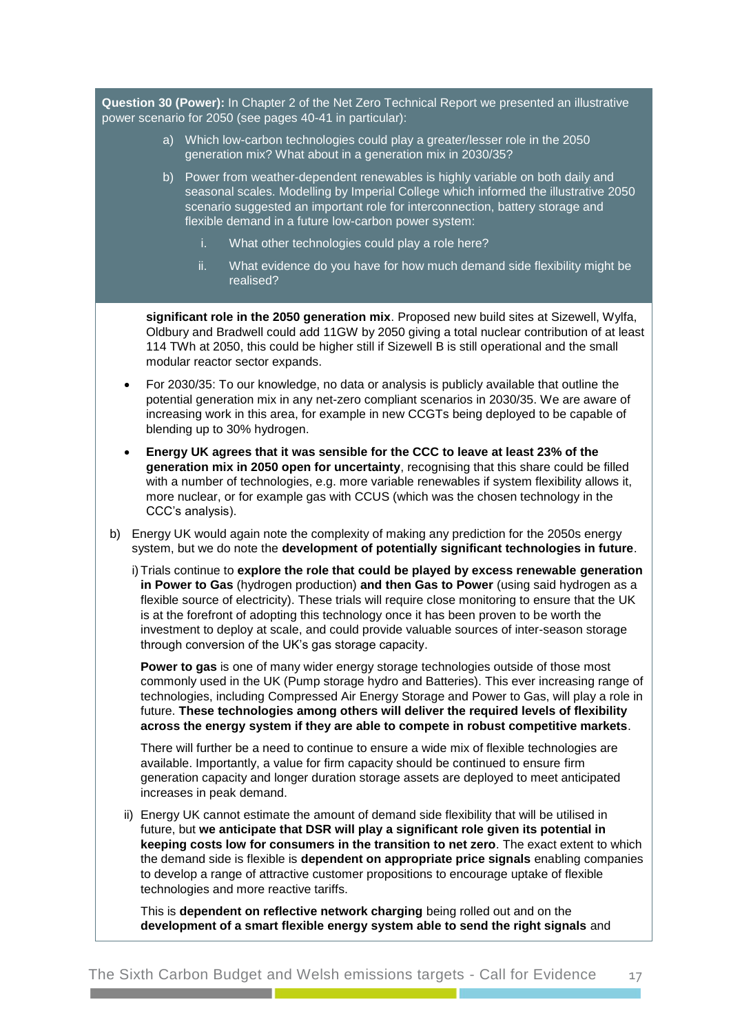**Question 30 (Power):** In Chapter 2 of the Net Zero Technical Report we presented an illustrative power scenario for 2050 (see pages 40-41 in particular):

- a) Which low-carbon technologies could play a greater/lesser role in the 2050 generation mix? What about in a generation mix in 2030/35?
- b) Power from weather-dependent renewables is highly variable on both daily and seasonal scales. Modelling by Imperial College which informed the illustrative 2050 scenario suggested an important role for interconnection, battery storage and flexible demand in a future low-carbon power system:
	- i. What other technologies could play a role here?
	- ii. What evidence do you have for how much demand side flexibility might be realised?

**significant role in the 2050 generation mix**. Proposed new build sites at Sizewell, Wylfa, Oldbury and Bradwell could add 11GW by 2050 giving a total nuclear contribution of at least 114 TWh at 2050, this could be higher still if Sizewell B is still operational and the small modular reactor sector expands.

- For 2030/35: To our knowledge, no data or analysis is publicly available that outline the potential generation mix in any net-zero compliant scenarios in 2030/35. We are aware of increasing work in this area, for example in new CCGTs being deployed to be capable of blending up to 30% hydrogen.
- **Energy UK agrees that it was sensible for the CCC to leave at least 23% of the generation mix in 2050 open for uncertainty**, recognising that this share could be filled with a number of technologies, e.g. more variable renewables if system flexibility allows it. more nuclear, or for example gas with CCUS (which was the chosen technology in the CCC's analysis).
- b) Energy UK would again note the complexity of making any prediction for the 2050s energy system, but we do note the **development of potentially significant technologies in future**.

i) Trials continue to **explore the role that could be played by excess renewable generation in Power to Gas** (hydrogen production) **and then Gas to Power** (using said hydrogen as a flexible source of electricity). These trials will require close monitoring to ensure that the UK is at the forefront of adopting this technology once it has been proven to be worth the investment to deploy at scale, and could provide valuable sources of inter-season storage through conversion of the UK's gas storage capacity.

**Power to gas** is one of many wider energy storage technologies outside of those most commonly used in the UK (Pump storage hydro and Batteries). This ever increasing range of technologies, including Compressed Air Energy Storage and Power to Gas, will play a role in future. **These technologies among others will deliver the required levels of flexibility across the energy system if they are able to compete in robust competitive markets**.

There will further be a need to continue to ensure a wide mix of flexible technologies are available. Importantly, a value for firm capacity should be continued to ensure firm generation capacity and longer duration storage assets are deployed to meet anticipated increases in peak demand.

ii) Energy UK cannot estimate the amount of demand side flexibility that will be utilised in future, but **we anticipate that DSR will play a significant role given its potential in keeping costs low for consumers in the transition to net zero**. The exact extent to which the demand side is flexible is **dependent on appropriate price signals** enabling companies to develop a range of attractive customer propositions to encourage uptake of flexible technologies and more reactive tariffs.

This is **dependent on reflective network charging** being rolled out and on the **development of a smart flexible energy system able to send the right signals** and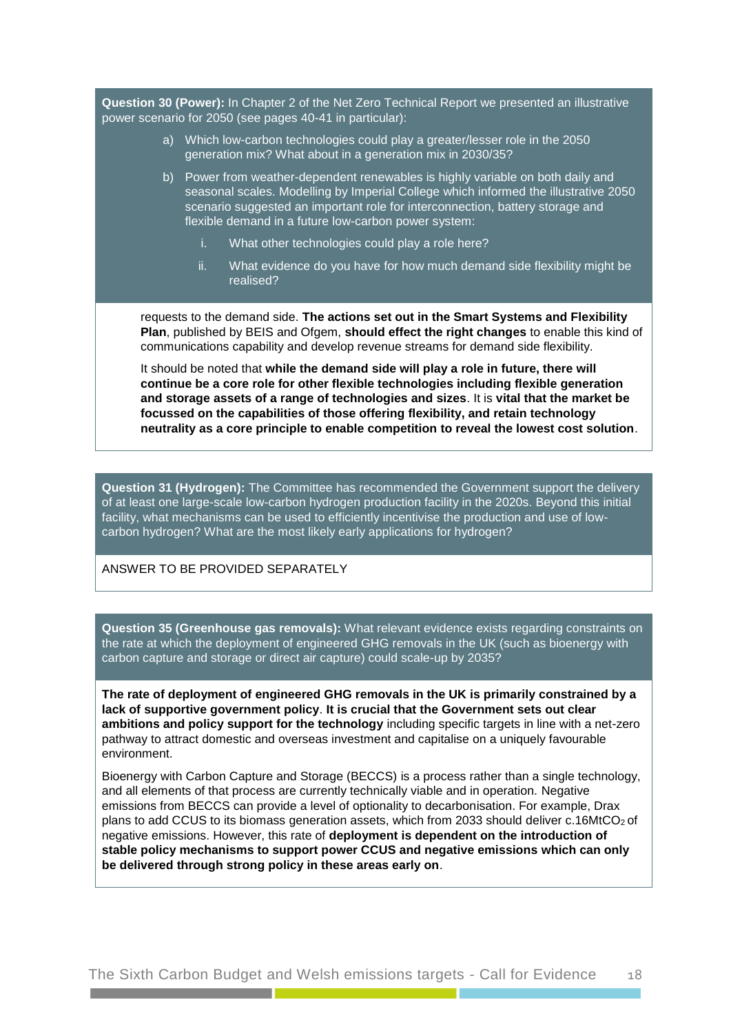**Question 30 (Power):** In Chapter 2 of the Net Zero Technical Report we presented an illustrative power scenario for 2050 (see pages 40-41 in particular):

- a) Which low-carbon technologies could play a greater/lesser role in the 2050 generation mix? What about in a generation mix in 2030/35?
- b) Power from weather-dependent renewables is highly variable on both daily and seasonal scales. Modelling by Imperial College which informed the illustrative 2050 scenario suggested an important role for interconnection, battery storage and flexible demand in a future low-carbon power system:
	- i. What other technologies could play a role here?
	- ii. What evidence do you have for how much demand side flexibility might be realised?

requests to the demand side. **The actions set out in the Smart Systems and Flexibility Plan**, published by BEIS and Ofgem, **should effect the right changes** to enable this kind of communications capability and develop revenue streams for demand side flexibility.

It should be noted that **while the demand side will play a role in future, there will continue be a core role for other flexible technologies including flexible generation and storage assets of a range of technologies and sizes**. It is **vital that the market be focussed on the capabilities of those offering flexibility, and retain technology neutrality as a core principle to enable competition to reveal the lowest cost solution**.

**Question 31 (Hydrogen):** The Committee has recommended the Government support the delivery of at least one large-scale low-carbon hydrogen production facility in the 2020s. Beyond this initial facility, what mechanisms can be used to efficiently incentivise the production and use of lowcarbon hydrogen? What are the most likely early applications for hydrogen?

#### ANSWER TO BE PROVIDED SEPARATELY

**Question 35 (Greenhouse gas removals):** What relevant evidence exists regarding constraints on the rate at which the deployment of engineered GHG removals in the UK (such as bioenergy with carbon capture and storage or direct air capture) could scale-up by 2035?

**The rate of deployment of engineered GHG removals in the UK is primarily constrained by a lack of supportive government policy**. **It is crucial that the Government sets out clear ambitions and policy support for the technology** including specific targets in line with a net-zero pathway to attract domestic and overseas investment and capitalise on a uniquely favourable environment.

Bioenergy with Carbon Capture and Storage (BECCS) is a process rather than a single technology, and all elements of that process are currently technically viable and in operation. Negative emissions from BECCS can provide a level of optionality to decarbonisation. For example, Drax plans to add CCUS to its biomass generation assets, which from 2033 should deliver  $c.16MtCO<sub>2</sub>$  of negative emissions. However, this rate of **deployment is dependent on the introduction of stable policy mechanisms to support power CCUS and negative emissions which can only be delivered through strong policy in these areas early on**.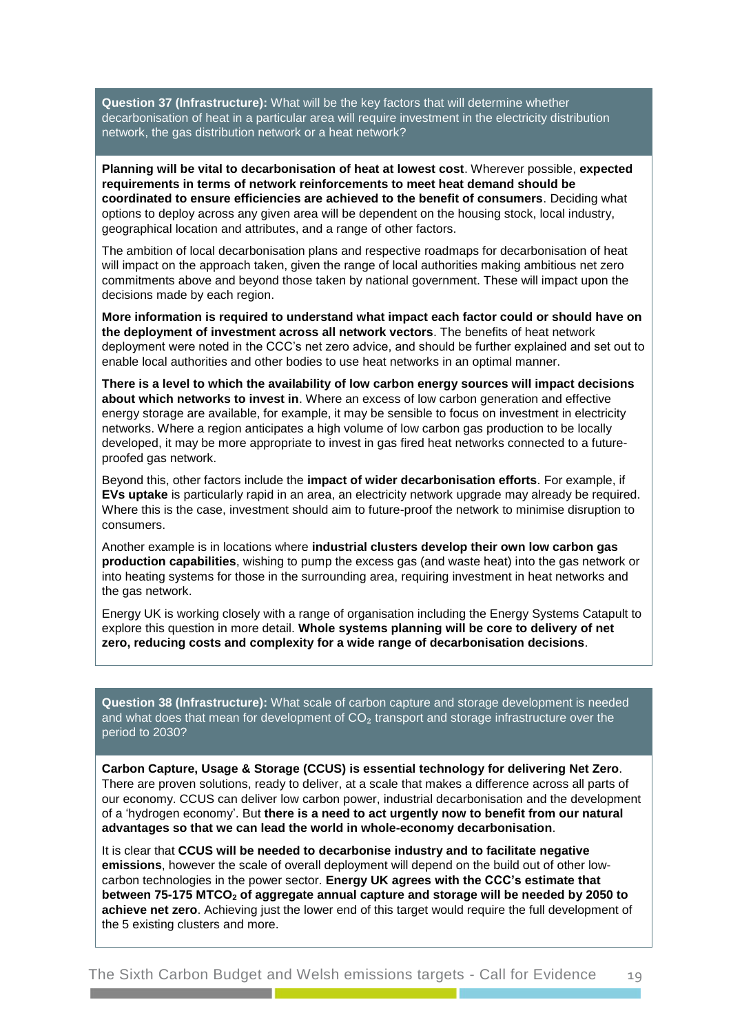**Question 37 (Infrastructure):** What will be the key factors that will determine whether decarbonisation of heat in a particular area will require investment in the electricity distribution network, the gas distribution network or a heat network?

**Planning will be vital to decarbonisation of heat at lowest cost**. Wherever possible, **expected requirements in terms of network reinforcements to meet heat demand should be coordinated to ensure efficiencies are achieved to the benefit of consumers**. Deciding what options to deploy across any given area will be dependent on the housing stock, local industry, geographical location and attributes, and a range of other factors.

The ambition of local decarbonisation plans and respective roadmaps for decarbonisation of heat will impact on the approach taken, given the range of local authorities making ambitious net zero commitments above and beyond those taken by national government. These will impact upon the decisions made by each region.

**More information is required to understand what impact each factor could or should have on the deployment of investment across all network vectors**. The benefits of heat network deployment were noted in the CCC's net zero advice, and should be further explained and set out to enable local authorities and other bodies to use heat networks in an optimal manner.

**There is a level to which the availability of low carbon energy sources will impact decisions about which networks to invest in**. Where an excess of low carbon generation and effective energy storage are available, for example, it may be sensible to focus on investment in electricity networks. Where a region anticipates a high volume of low carbon gas production to be locally developed, it may be more appropriate to invest in gas fired heat networks connected to a futureproofed gas network.

Beyond this, other factors include the **impact of wider decarbonisation efforts**. For example, if **EVs uptake** is particularly rapid in an area, an electricity network upgrade may already be required. Where this is the case, investment should aim to future-proof the network to minimise disruption to consumers.

Another example is in locations where **industrial clusters develop their own low carbon gas production capabilities**, wishing to pump the excess gas (and waste heat) into the gas network or into heating systems for those in the surrounding area, requiring investment in heat networks and the gas network.

Energy UK is working closely with a range of organisation including the Energy Systems Catapult to explore this question in more detail. **Whole systems planning will be core to delivery of net zero, reducing costs and complexity for a wide range of decarbonisation decisions**.

**Question 38 (Infrastructure):** What scale of carbon capture and storage development is needed and what does that mean for development of  $CO<sub>2</sub>$  transport and storage infrastructure over the period to 2030?

**Carbon Capture, Usage & Storage (CCUS) is essential technology for delivering Net Zero**. There are proven solutions, ready to deliver, at a scale that makes a difference across all parts of our economy. CCUS can deliver low carbon power, industrial decarbonisation and the development of a 'hydrogen economy'. But **there is a need to act urgently now to benefit from our natural advantages so that we can lead the world in whole-economy decarbonisation**.

It is clear that **CCUS will be needed to decarbonise industry and to facilitate negative emissions**, however the scale of overall deployment will depend on the build out of other lowcarbon technologies in the power sector. **Energy UK agrees with the CCC's estimate that between 75-175 MTCO<sup>2</sup> of aggregate annual capture and storage will be needed by 2050 to achieve net zero**. Achieving just the lower end of this target would require the full development of the 5 existing clusters and more.